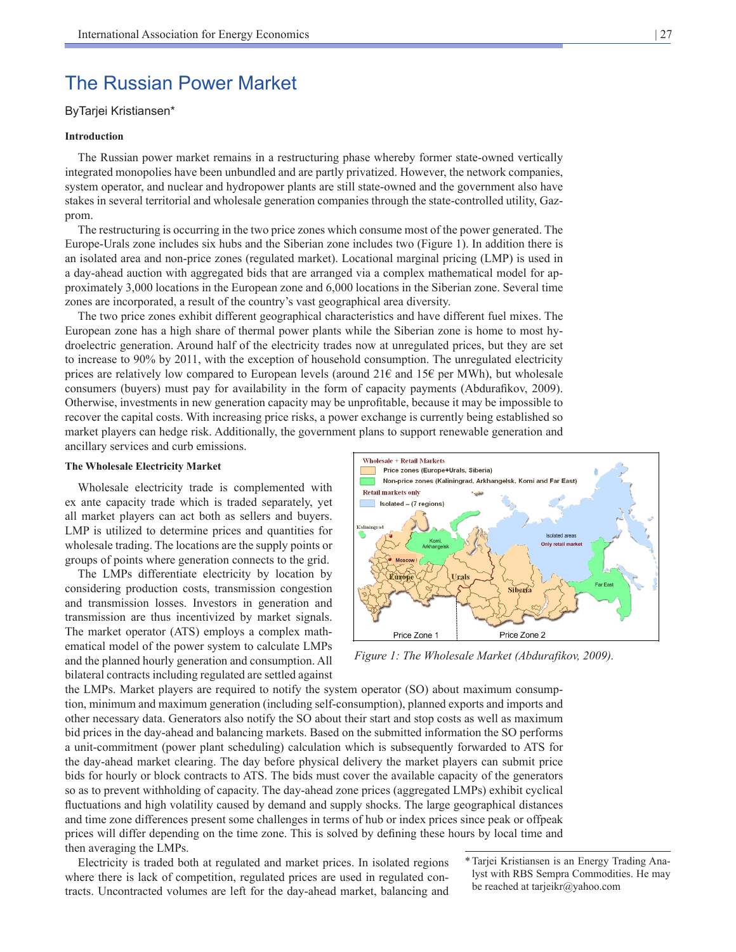# The Russian Power Market

# ByTarjei Kristiansen\*

### **Introduction**

The Russian power market remains in a restructuring phase whereby former state-owned vertically integrated monopolies have been unbundled and are partly privatized. However, the network companies, system operator, and nuclear and hydropower plants are still state-owned and the government also have stakes in several territorial and wholesale generation companies through the state-controlled utility, Gazprom.

The restructuring is occurring in the two price zones which consume most of the power generated. The Europe-Urals zone includes six hubs and the Siberian zone includes two (Figure 1). In addition there is an isolated area and non-price zones (regulated market). Locational marginal pricing (LMP) is used in a day-ahead auction with aggregated bids that are arranged via a complex mathematical model for approximately 3,000 locations in the European zone and 6,000 locations in the Siberian zone. Several time zones are incorporated, a result of the country's vast geographical area diversity.

The two price zones exhibit different geographical characteristics and have different fuel mixes. The European zone has a high share of thermal power plants while the Siberian zone is home to most hydroelectric generation. Around half of the electricity trades now at unregulated prices, but they are set to increase to 90% by 2011, with the exception of household consumption. The unregulated electricity prices are relatively low compared to European levels (around  $21\epsilon$  and  $15\epsilon$  per MWh), but wholesale consumers (buyers) must pay for availability in the form of capacity payments (Abdurafikov, 2009). Otherwise, investments in new generation capacity may be unprofitable, because it may be impossible to recover the capital costs. With increasing price risks, a power exchange is currently being established so market players can hedge risk. Additionally, the government plans to support renewable generation and ancillary services and curb emissions.

#### **The Wholesale Electricity Market**

Wholesale electricity trade is complemented with ex ante capacity trade which is traded separately, yet all market players can act both as sellers and buyers. LMP is utilized to determine prices and quantities for wholesale trading. The locations are the supply points or groups of points where generation connects to the grid.

The LMPs differentiate electricity by location by considering production costs, transmission congestion and transmission losses. Investors in generation and transmission are thus incentivized by market signals. The market operator (ATS) employs a complex mathematical model of the power system to calculate LMPs and the planned hourly generation and consumption. All bilateral contracts including regulated are settled against



*Figure 1: The Wholesale Market (Abdurafikov, 2009).*

the LMPs. Market players are required to notify the system operator (SO) about maximum consumption, minimum and maximum generation (including self-consumption), planned exports and imports and other necessary data. Generators also notify the SO about their start and stop costs as well as maximum bid prices in the day-ahead and balancing markets. Based on the submitted information the SO performs a unit-commitment (power plant scheduling) calculation which is subsequently forwarded to ATS for the day-ahead market clearing. The day before physical delivery the market players can submit price bids for hourly or block contracts to ATS. The bids must cover the available capacity of the generators so as to prevent withholding of capacity. The day-ahead zone prices (aggregated LMPs) exhibit cyclical fluctuations and high volatility caused by demand and supply shocks. The large geographical distances and time zone differences present some challenges in terms of hub or index prices since peak or offpeak prices will differ depending on the time zone. This is solved by defining these hours by local time and then averaging the LMPs.

Electricity is traded both at regulated and market prices. In isolated regions where there is lack of competition, regulated prices are used in regulated contracts. Uncontracted volumes are left for the day-ahead market, balancing and

\*Tarjei Kristiansen is an Energy Trading Analyst with RBS Sempra Commodities. He may be reached at tarjeikr@yahoo.com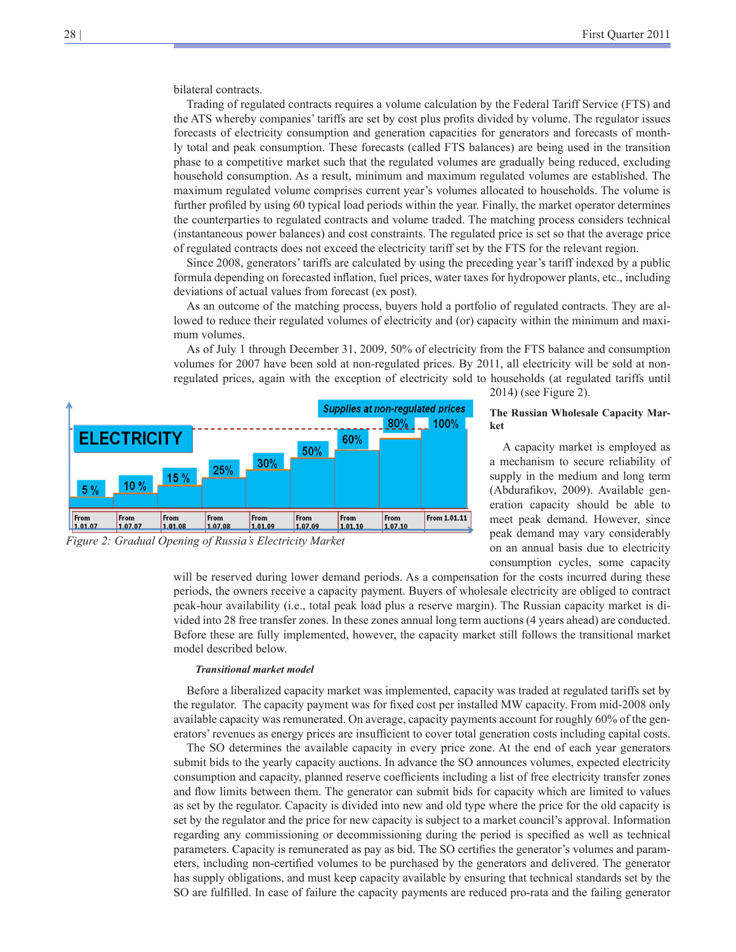bilateral contracts.

Trading of regulated contracts requires a volume calculation by the Federal Tariff Service (FTS) and the ATS whereby companies' tariffs are set by cost plus profits divided by volume. The regulator issues forecasts of electricity consumption and generation capacities for generators and forecasts of monthly total and peak consumption. These forecasts (called FTS balances) are being used in the transition phase to a competitive market such that the regulated volumes are gradually being reduced, excluding household consumption. As a result, minimum and maximum regulated volumes are established. The maximum regulated volume comprises current year's volumes allocated to households. The volume is further profiled by using 60 typical load periods within the year. Finally, the market operator determines the counterparties to regulated contracts and volume traded. The matching process considers technical (instantaneous power balances) and cost constraints. The regulated price is set so that the average price of regulated contracts does not exceed the electricity tariff set by the FTS for the relevant region.

Since 2008, generators' tariffs are calculated by using the preceding year's tariff indexed by a public formula depending on forecasted inflation, fuel prices, water taxes for hydropower plants, etc., including deviations of actual values from forecast (ex post).

As an outcome of the matching process, buyers hold a portfolio of regulated contracts. They are allowed to reduce their regulated volumes of electricity and (or) capacity within the minimum and maximum volumes.

As of July 1 through December 31, 2009, 50% of electricity from the FTS balance and consumption volumes for 2007 have been sold at non-regulated prices. By 2011, all electricity will be sold at nonregulated prices, again with the exception of electricity sold to households (at regulated tariffs until



2014) (see Figure 2).

### **The Russian Wholesale Capacity Market**

A capacity market is employed as a mechanism to secure reliability of supply in the medium and long term (Abdurafikov, 2009). Available generation capacity should be able to meet peak demand. However, since peak demand may vary considerably on an annual basis due to electricity consumption cycles, some capacity

will be reserved during lower demand periods. As a compensation for the costs incurred during these periods, the owners receive a capacity payment. Buyers of wholesale electricity are obliged to contract peak-hour availability (i.e., total peak load plus a reserve margin). The Russian capacity market is divided into 28 free transfer zones. In these zones annual long term auctions (4 years ahead) are conducted. Before these are fully implemented, however, the capacity market still follows the transitional market model described below.

## *Transitional market model*

Before a liberalized capacity market was implemented, capacity was traded at regulated tariffs set by the regulator. The capacity payment was for fixed cost per installed MW capacity. From mid-2008 only available capacity was remunerated. On average, capacity payments account for roughly 60% of the generators' revenues as energy prices are insufficient to cover total generation costs including capital costs.

The SO determines the available capacity in every price zone. At the end of each year generators submit bids to the yearly capacity auctions. In advance the SO announces volumes, expected electricity consumption and capacity, planned reserve coefficients including a list of free electricity transfer zones and flow limits between them. The generator can submit bids for capacity which are limited to values as set by the regulator. Capacity is divided into new and old type where the price for the old capacity is set by the regulator and the price for new capacity is subject to a market council's approval. Information regarding any commissioning or decommissioning during the period is specified as well as technical parameters. Capacity is remunerated as pay as bid. The SO certifies the generator's volumes and parameters, including non-certified volumes to be purchased by the generators and delivered. The generator has supply obligations, and must keep capacity available by ensuring that technical standards set by the SO are fulfilled. In case of failure the capacity payments are reduced pro-rata and the failing generator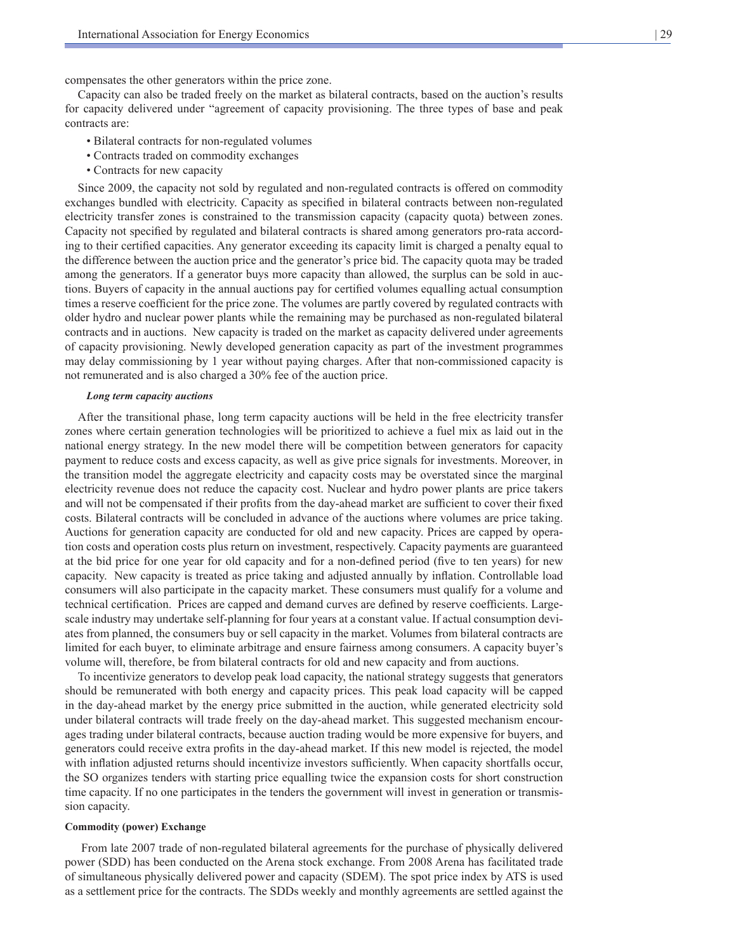compensates the other generators within the price zone.

Capacity can also be traded freely on the market as bilateral contracts, based on the auction's results for capacity delivered under "agreement of capacity provisioning. The three types of base and peak contracts are:

- Bilateral contracts for non-regulated volumes
- Contracts traded on commodity exchanges
- Contracts for new capacity

Since 2009, the capacity not sold by regulated and non-regulated contracts is offered on commodity exchanges bundled with electricity. Capacity as specified in bilateral contracts between non-regulated electricity transfer zones is constrained to the transmission capacity (capacity quota) between zones. Capacity not specified by regulated and bilateral contracts is shared among generators pro-rata according to their certified capacities. Any generator exceeding its capacity limit is charged a penalty equal to the difference between the auction price and the generator's price bid. The capacity quota may be traded among the generators. If a generator buys more capacity than allowed, the surplus can be sold in auctions. Buyers of capacity in the annual auctions pay for certified volumes equalling actual consumption times a reserve coefficient for the price zone. The volumes are partly covered by regulated contracts with older hydro and nuclear power plants while the remaining may be purchased as non-regulated bilateral contracts and in auctions. New capacity is traded on the market as capacity delivered under agreements of capacity provisioning. Newly developed generation capacity as part of the investment programmes may delay commissioning by 1 year without paying charges. After that non-commissioned capacity is not remunerated and is also charged a 30% fee of the auction price.

### *Long term capacity auctions*

After the transitional phase, long term capacity auctions will be held in the free electricity transfer zones where certain generation technologies will be prioritized to achieve a fuel mix as laid out in the national energy strategy. In the new model there will be competition between generators for capacity payment to reduce costs and excess capacity, as well as give price signals for investments. Moreover, in the transition model the aggregate electricity and capacity costs may be overstated since the marginal electricity revenue does not reduce the capacity cost. Nuclear and hydro power plants are price takers and will not be compensated if their profits from the day-ahead market are sufficient to cover their fixed costs. Bilateral contracts will be concluded in advance of the auctions where volumes are price taking. Auctions for generation capacity are conducted for old and new capacity. Prices are capped by operation costs and operation costs plus return on investment, respectively. Capacity payments are guaranteed at the bid price for one year for old capacity and for a non-defined period (five to ten years) for new capacity. New capacity is treated as price taking and adjusted annually by inflation. Controllable load consumers will also participate in the capacity market. These consumers must qualify for a volume and technical certification. Prices are capped and demand curves are defined by reserve coefficients. Largescale industry may undertake self-planning for four years at a constant value. If actual consumption deviates from planned, the consumers buy or sell capacity in the market. Volumes from bilateral contracts are limited for each buyer, to eliminate arbitrage and ensure fairness among consumers. A capacity buyer's volume will, therefore, be from bilateral contracts for old and new capacity and from auctions.

To incentivize generators to develop peak load capacity, the national strategy suggests that generators should be remunerated with both energy and capacity prices. This peak load capacity will be capped in the day-ahead market by the energy price submitted in the auction, while generated electricity sold under bilateral contracts will trade freely on the day-ahead market. This suggested mechanism encourages trading under bilateral contracts, because auction trading would be more expensive for buyers, and generators could receive extra profits in the day-ahead market. If this new model is rejected, the model with inflation adjusted returns should incentivize investors sufficiently. When capacity shortfalls occur, the SO organizes tenders with starting price equalling twice the expansion costs for short construction time capacity. If no one participates in the tenders the government will invest in generation or transmission capacity.

#### **Commodity (power) Exchange**

 From late 2007 trade of non-regulated bilateral agreements for the purchase of physically delivered power (SDD) has been conducted on the Arena stock exchange. From 2008 Arena has facilitated trade of simultaneous physically delivered power and capacity (SDEM). The spot price index by ATS is used as a settlement price for the contracts. The SDDs weekly and monthly agreements are settled against the